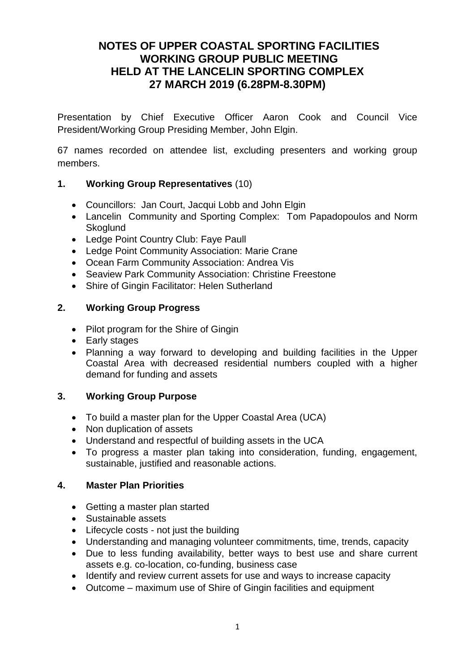# **NOTES OF UPPER COASTAL SPORTING FACILITIES WORKING GROUP PUBLIC MEETING HELD AT THE LANCELIN SPORTING COMPLEX 27 MARCH 2019 (6.28PM-8.30PM)**

Presentation by Chief Executive Officer Aaron Cook and Council Vice President/Working Group Presiding Member, John Elgin.

67 names recorded on attendee list, excluding presenters and working group members.

## **1. Working Group Representatives** (10)

- Councillors: Jan Court, Jacqui Lobb and John Elgin
- Lancelin Community and Sporting Complex: Tom Papadopoulos and Norm **Skoglund**
- Ledge Point Country Club: Faye Paull
- Ledge Point Community Association: Marie Crane
- Ocean Farm Community Association: Andrea Vis
- Seaview Park Community Association: Christine Freestone
- Shire of Gingin Facilitator: Helen Sutherland

## **2. Working Group Progress**

- Pilot program for the Shire of Gingin
- Early stages
- Planning a way forward to developing and building facilities in the Upper Coastal Area with decreased residential numbers coupled with a higher demand for funding and assets

#### **3. Working Group Purpose**

- To build a master plan for the Upper Coastal Area (UCA)
- Non duplication of assets
- Understand and respectful of building assets in the UCA
- To progress a master plan taking into consideration, funding, engagement, sustainable, justified and reasonable actions.

#### **4. Master Plan Priorities**

- Getting a master plan started
- Sustainable assets
- Lifecycle costs not just the building
- Understanding and managing volunteer commitments, time, trends, capacity
- Due to less funding availability, better ways to best use and share current assets e.g. co-location, co-funding, business case
- Identify and review current assets for use and ways to increase capacity
- Outcome maximum use of Shire of Gingin facilities and equipment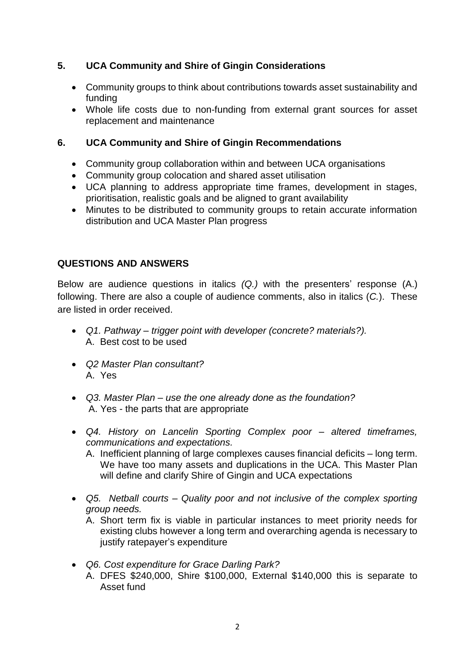## **5. UCA Community and Shire of Gingin Considerations**

- Community groups to think about contributions towards asset sustainability and funding
- Whole life costs due to non-funding from external grant sources for asset replacement and maintenance

### **6. UCA Community and Shire of Gingin Recommendations**

- Community group collaboration within and between UCA organisations
- Community group colocation and shared asset utilisation
- UCA planning to address appropriate time frames, development in stages, prioritisation, realistic goals and be aligned to grant availability
- Minutes to be distributed to community groups to retain accurate information distribution and UCA Master Plan progress

#### **QUESTIONS AND ANSWERS**

Below are audience questions in italics *(Q.)* with the presenters' response (A.) following. There are also a couple of audience comments, also in italics (*C.*). These are listed in order received.

- *Q1. Pathway – trigger point with developer (concrete? materials?).* A. Best cost to be used
- *Q2 Master Plan consultant?*  A. Yes
- *Q3. Master Plan – use the one already done as the foundation?*  A. Yes - the parts that are appropriate
- *Q4. History on Lancelin Sporting Complex poor – altered timeframes, communications and expectations.* 
	- A. Inefficient planning of large complexes causes financial deficits long term. We have too many assets and duplications in the UCA. This Master Plan will define and clarify Shire of Gingin and UCA expectations
- *Q5. Netball courts – Quality poor and not inclusive of the complex sporting group needs.*
	- A. Short term fix is viable in particular instances to meet priority needs for existing clubs however a long term and overarching agenda is necessary to justify ratepayer's expenditure
- *Q6. Cost expenditure for Grace Darling Park?* A. DFES \$240,000, Shire \$100,000, External \$140,000 this is separate to Asset fund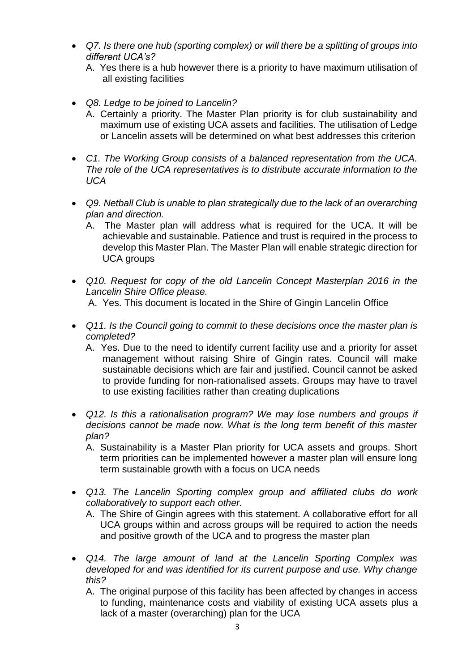- *Q7. Is there one hub (sporting complex) or will there be a splitting of groups into different UCA's?*
	- A. Yes there is a hub however there is a priority to have maximum utilisation of all existing facilities
- *Q8. Ledge to be joined to Lancelin?* 
	- A. Certainly a priority. The Master Plan priority is for club sustainability and maximum use of existing UCA assets and facilities. The utilisation of Ledge or Lancelin assets will be determined on what best addresses this criterion
- *C1. The Working Group consists of a balanced representation from the UCA. The role of the UCA representatives is to distribute accurate information to the UCA*
- *Q9. Netball Club is unable to plan strategically due to the lack of an overarching plan and direction.*
	- A. The Master plan will address what is required for the UCA. It will be achievable and sustainable. Patience and trust is required in the process to develop this Master Plan. The Master Plan will enable strategic direction for UCA groups
- *Q10. Request for copy of the old Lancelin Concept Masterplan 2016 in the Lancelin Shire Office please.*  A. Yes. This document is located in the Shire of Gingin Lancelin Office
- *Q11. Is the Council going to commit to these decisions once the master plan is completed?* 
	- A. Yes. Due to the need to identify current facility use and a priority for asset management without raising Shire of Gingin rates. Council will make sustainable decisions which are fair and justified. Council cannot be asked to provide funding for non-rationalised assets. Groups may have to travel to use existing facilities rather than creating duplications
- *Q12. Is this a rationalisation program? We may lose numbers and groups if decisions cannot be made now. What is the long term benefit of this master plan?* 
	- A. Sustainability is a Master Plan priority for UCA assets and groups. Short term priorities can be implemented however a master plan will ensure long term sustainable growth with a focus on UCA needs
- *Q13. The Lancelin Sporting complex group and affiliated clubs do work collaboratively to support each other.* 
	- A. The Shire of Gingin agrees with this statement. A collaborative effort for all UCA groups within and across groups will be required to action the needs and positive growth of the UCA and to progress the master plan
- *Q14. The large amount of land at the Lancelin Sporting Complex was developed for and was identified for its current purpose and use. Why change this?* 
	- A. The original purpose of this facility has been affected by changes in access to funding, maintenance costs and viability of existing UCA assets plus a lack of a master (overarching) plan for the UCA